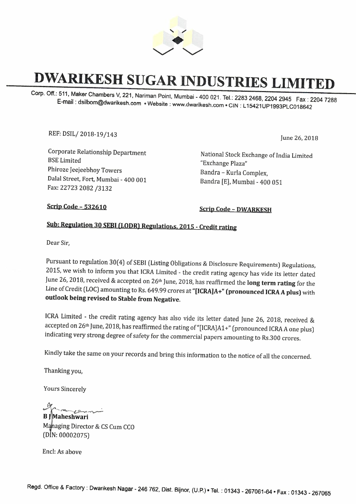

# **DWARIKESH SUGAR INDUSTRIES LIMITED**

Corp. Off.: 511, Maker Chambers V, 221, Nariman Point, Mumbai - 400 021. Tel.: 2283 2468, 2204 2945 Fax: 2204 7288 E-mail : dsilbom@dwarikesh.com • Website : www.dwarikesh.com • GIN : L 15421UP1993PLC018642

REF: DSIL/ 2018-19/143 June 26, 2018

Corporate Relationship Department BSE Limited Phiroze Jeejeebhoy Towers Dalal Street, Fort, Mumbai - 400 001 Fax: 22723 2082 /3132

National Stock Exchange of India Limited "Exchange Plaza" Bandra - Kurla Complex, Bandra [E], Mumbai - 400 051

**Scrip Code - 532610 Scrip Code - DWARKESH** 

## Sub: Regulation 30 SEBI (LODR) Regulations, 2015 - Credit rating

Dear Sir,

Pursuant to regulation 30(4) of SEBI (Listing Obligations & Disclosure Requirements) Regulations, 2015, we wish to inform you that ICRA Limited - the credit rating agency has vide its letter dated June 26, 2018, received & accepted on 26th June, 2018, has reaffirmed the **long term rating** for the Line of Credit (LOC) amounting to Rs. 649.99 crores at **"[ICRA]A+" (pronounced ICRA A plus)** with **outlook being revised to Stable from Negative.** 

ICRA Limited - the credit rating agency has also vide its letter dated June 26, 2018, received & accepted on 26<sup>th</sup> June, 2018, has reaffirmed the rating of "[ICRA]A1+" (pronounced ICRA A one plus) indicating very strong degree of safety for the commercial papers amounting to Rs.300 crores.

Kindly take the same on your records and bring this information to the notice of all the concerned.

Thanking you,

Yours Sincerely

 $\sum_{n=1}^{\infty}$ 

**B Maheshwari p**haging Director & CS Cum CCO (DIN: 00002075)

Encl: As above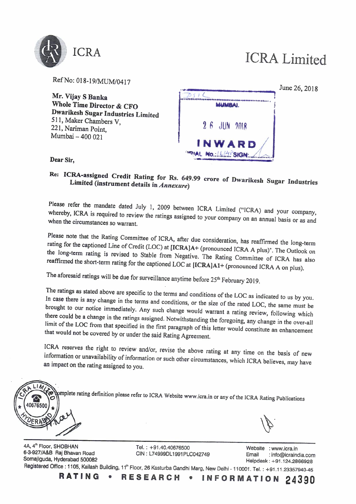

RefNo: 018-19/MUM/0417

**Mr. Vijay S Banka Whole Time Director** & **CFO Dwarikesh Sugar Industries Limited**  511, Maker Chambers V, 221, Nariman Point, Mumbai - 400 021



**Dear Sir,** 

## **Re: ICRA-assigned Credit Rating for Rs. 649.99 crore of Dwarikesh Sugar Industries Limited (instrument details in** *Annexure)*

Please refer the mandate dated July 1, 2009 between ICRA Limited ("ICRA) and your company, whereby, ICRA is required to review the ratings assigned to your company on an annual basis or as and when the circumstances so warrant.

Please note that the Rating Committee of ICRA, after due consideration, has reaffirmed the long-term rating for the captioned Line of Credit (LOC) at **[ICRA]A+** (pronounced ICRA A plus)", The Outlook on the long-term rating is revised to Stable from Negative. The Rating Committee of ICRA has also reaffirmed the short-term rating for the captioned LOC at **[ICRA]Al+** (pronounced ICRA A on plus).

The aforesaid ratings will be due for surveillance anytime before 25<sup>th</sup> February 2019.

The ratings as stated above are specific to the terms and conditions of the LOC as indicated to us by you. In case there is any change in the terms and conditions, or the size of the rated LOC, the same must be brought to our notice immediately. Any such change would warrant a rating review, following which there could be a change in the ratings assigned. Notwithstanding the foregoing, any change in the over-all limit of the LOC from that specified in the first paragraph of this letter would constitute an enhancement that would not be covered by or under the said Rating Agreement.

ICRA reserves the right to review and/or, revise the above rating at any time on the basis of new information or unavailability of information or such other circumstances, which ICRA believes, may have an impact on the rating assigned to you.



4A, 4<sup>th</sup> Floor, SHOBHAN **Tel. : +91.40.40676500**<br>1991 - G3-927/A&B Rai Bhavan Road CIN : L74999DL1991PLC042749 Fmail : info@icrain 6-3-927/A&B Raj Bhavan Road CIN: L74999DL1991PLC042749 Email : info@icraindia.com Somajiguda, Hyderabad 500082 helpdesk: +91.124.2866928

Registered Office : 1105, Kailash Building, 11<sup>th</sup> Floor, 26 Kasturba Gandhi Marg, New Delhi - 110001. Tel. : +91.11.23357940-45<br>**RATING • RESEARCH • INFORMATION 24390**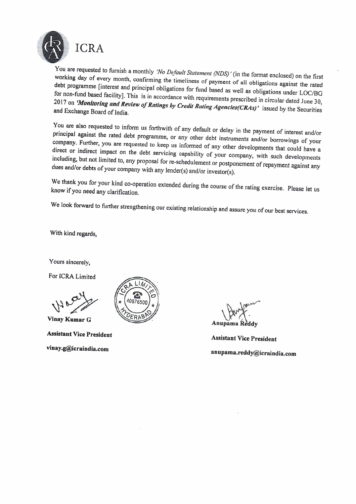

ICRA<br>
You are requested to furnish a monthly *'No Default Statement (NDS)'* (in the format enclosed) on the first<br>
working day of avery month working day of every month, confirming the timeliness of payment of all obligations against the rated debt programme [interest and principal obligations for fund based as well as obligations under LOC/BG for non-fund based facility]. This is in accordance with requirements prescribed in circular dated June 30, 2017 on 'Monitoring and Review of Ratings by Credit Rating Agencies(CRAs)' issued by the Securities and Exchange Board of India.

You are also requested to inform us forthwith of any default or delay in the payment of interest and/or principal against the rated debt programme, or any other debt instruments and/or borrowings of your company. Further, you are requested to keep us informed of any other developments that could have a direct or indirect impact on the debt servicing capability of your company, with such developments including, but not limited to, any proposal for re-schedulement or postponement of repayment against any dues and/or debts of your company with any Iender(s) and/or investor(s).

We thank you for your kind co-operation extended during the course of the rating exercise. Please let us know if you need any clarification.

We look forward to further strengthening our existing relationship and assure you of our best services.

With kind regards,

Yours sincerely,

For ICRA Limited

**Vinay Kumar G** 

**Assistant Vice President vinay.g@icraindia.com** 



**Anux Community**<br> **Anupama Reddy**<br> **Assistant Vice President** 

**Assistant Vice President anupama.reddy@icraindia.com**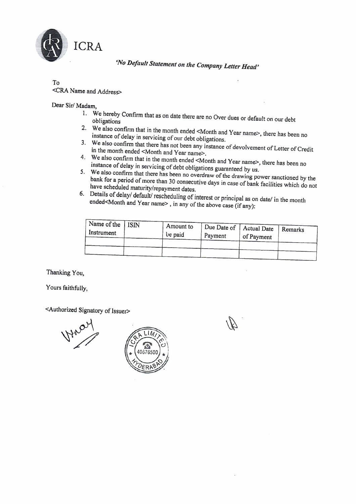

*'No Default Statement on the Company Letter Head'* 

# To

### <CRA Name and Address>

### Dear Sir/ Madam,

- I. We hereby Confirm that as on date there are no Over dues or default on our debt obligations
- 2. We also confirm that in the month ended <Month and Year name>, there has been no instance of delay in servicing of our debt obligations.
- 3. We also confirm that there has not been any instance of devolvement of Letter of Credit in the month ended <Month and Year name>.
- 4. We also confirm that in the month ended <Month and Year name>, there has been no instance of delay in servicing of debt obligations guaranteed by us.
- 5. We also confirm that there has been no overdraw of the drawing power sanctioned by the bank for a period of more than 30 consecutive days in case of bank facilities which do not have scheduled maturity/repayment dates.
- 6. Details of delay/ default/ rescheduling of interest or principal as on date/ in the month ended<Month and Year name>, in any of the above case (if any):

| Name of the<br>Instrument | ISIN | Amount to<br>be paid | Due Date of $\vert$<br>Payment | Actual Date<br>of Payment | Remarks |
|---------------------------|------|----------------------|--------------------------------|---------------------------|---------|
|                           |      |                      |                                |                           |         |

Thanking You,

Yours faithfully,

<Authorized Signatory of Issuer>



 $\mathbb{Z}^2$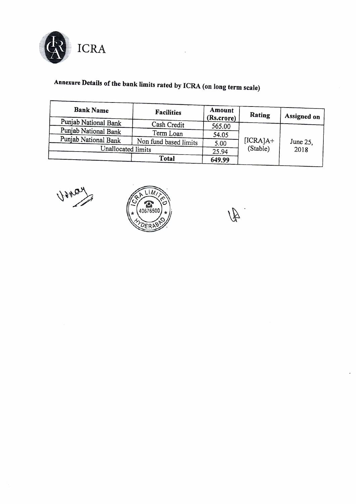

# **Annexure Details of the bank limits rated by** I CRA ( **on long term scale)**

| <b>Bank Name</b>     | <b>Facilities</b>     | Amount<br>(Rs.crore) | Rating     | <b>Assigned on</b> |
|----------------------|-----------------------|----------------------|------------|--------------------|
| Punjab National Bank | Cash Credit           | 565.00               |            |                    |
| Punjab National Bank | Term Loan             | 54.05                |            |                    |
| Punjab National Bank | Non fund based limits | 5.00                 | $[ICRA]A+$ | June 25,           |
| Unallocated limits   |                       | 25.94                | (Stable)   | 2018               |
|                      | <b>Total</b>          | 649.99               |            |                    |

Worldy

![](_page_4_Picture_4.jpeg)

 $\mathbb{A}$ 

 $\overline{a}$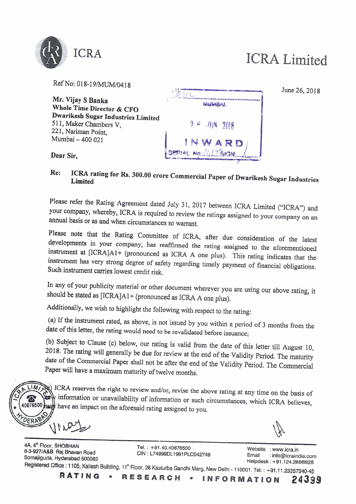![](_page_5_Picture_0.jpeg)

| Ref No: 018-19/MUM/0418                                                             |                       |
|-------------------------------------------------------------------------------------|-----------------------|
| Mr. Vijay S Banka<br>Whole Time Director & CFO                                      | <b>MUMBAL</b>         |
| Dwarikesh Sugar Industries Limited<br>511, Maker Chambers V,<br>221, Nariman Point, | $9.6$ JUN 2018        |
| Mumbai - 400 021                                                                    | NWARD                 |
| Dear Sir,                                                                           | SERIAL NO. 1614 SIGN. |

June 26, 2018

# **Re: ICRA rating for Rs. 300.00 crore Commercial Paper of Dwarikesh Sugar Industries Limited**

Please refer the Rating Agreement dated July 31, 2017 between ICRA Limited ("ICRA") and your company, whereby, ICRA is required to review the ratings assigned to your company on an annual basis or as and when circumstances so warrant.

Please note that the Rating Committee of ICRA, after due consideration of the latest developments in your company, has reaffirmed the rating assigned to the aforementioned instrument at [ICRA]A1+ (pronounced as ICRA A one plus). This rating indicates that the instrument has very strong degree of safety regarding timely payment of financial obligations. Such instrument carries lowest credit risk.

In any of your publicity material or other document wherever you are using our above rating, it should be stated as [ICRA]A1+ (pronounced as ICRA A one plus).

Additionally, we wish to highlight the following with respect to the rating:

(a) If the instrument rated, as above, is not issued by you within a period of 3 months from the date of this letter, the rating would need to be revalidated before issuance;

(b) Subject to Clause (c) below, our rating is valid from the date of this letter till August 10, 2018. The rating will generally be due for review at the end of the Validity Period. The maturity date of the Commercial Paper shall not be after the end of the Validity Period. The Commercial Paper will have a maximum maturity of twelve months.

 $LIM$ ICRA reserves the right to review and/or, revise the above rating at any time on the basis of y information or unavailability of information or such circumstances, which ICRA believes, hast have an impact on the aforesaid rating assigned to you. 0676500

4A, 4<sup></sup><br>ሰበበበ Floor, SHOBHAN Tel. : +91.40.40676500 Website : www.icra.in 6-3-927/A&B Raj Bhavan Road GIN: L74999DL1991PLC042749 Email : info@icraindia.com Somajiguda, Hyderabad 500082 Helpdesk: +91.124.2866928

**Registered Office : 1105, Kailash Building, 11" Floor, 26 Kasturba Gandhi Marg, New Delhi - 110001. Tel. : +91.11.23357940-45<br><b>RATING • RESEARCH • INFORMATION 24399**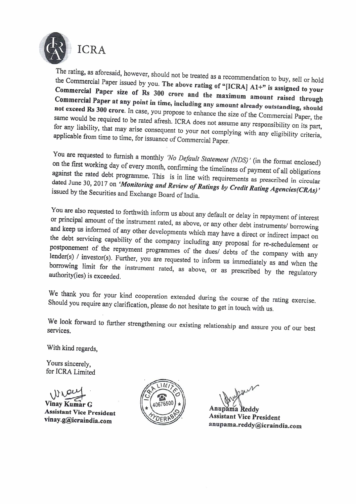![](_page_6_Picture_0.jpeg)

the Commercial Paper issued by you. **The above rating of "[ICRAJ Al+" is assigned to your Commercial Paper size of Rs 300 crore and the maximum amount raised through Commercial Paper at any point in time, including any amount already outstanding, should not exceed Rs 300 crore.** In case, you propose to enhance the size of the Commercial Paper, the same would be required to be rated afresh. ICRA does not assume any responsibility on its part, for any liability, that may arise consequent to your not complying with any eligibility criteria, applicable from time to time, for issuance of Commercial Paper.

You are requested to furnish a monthly *'No Default Statement (NDS) '* (in the format enclosed) on the first working day of every month, confirming the timeliness of payment of all obligations against the rated debt programme. This is in line with requirements as prescribed in circular dated June 30, 2017 on *'Monitoring and Review of Ratings by Credit Rating Agencies(CRAs)'*  issued by the Securities and Exchange Board of India.

You are also requested to forthwith inform us about any default or delay in repayment of interest or principal amount of the instrument rated, as above, or any other debt instruments/ borrowing and keep us informed of any other developments which may have a direct or indirect impact on the debt servicing capability of the company including any proposal for re-schedulement or postponement of the repayment programmes of the dues/ debts of the company with any lender(s) / investor(s). Further, you are requested to inform us immediately as and when the borrowing limit for the instrument rated, as above, or as prescribed by the regulatory authority(ies) is exceeded.

We thank you for your kind cooperation extended during the course of the rating exercise. Should you require any clarification, please do not hesitate to get in touch with us.

We look forward to further strengthening our existing relationship and assure you of our best services.

With kind regards,

Yours sincerely, for ICRA Limited Yours sincerely,<br>for ICRA Limited<br>Winay Kumar G

**Assistant Vice President vinay.g@icraindia.com** 

![](_page_6_Picture_10.jpeg)

**A s s istant Vice President**  A n we have<br>upama Reddy<br>upama Reddy<br>upama.reddy@icraindia.com **anupama.reddy@icraindia.com**